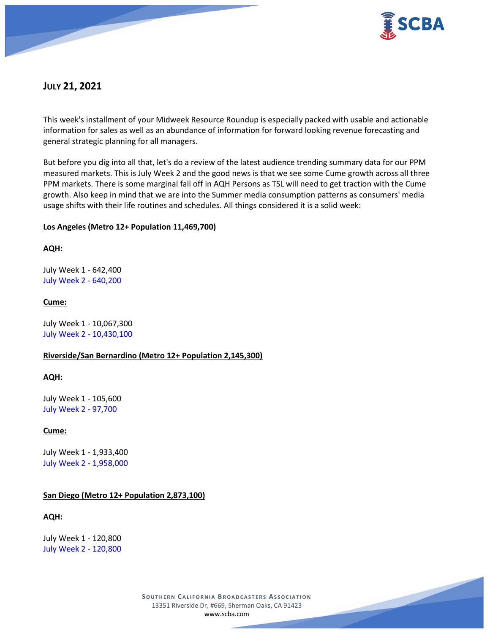

# **JULY 21, 2021**

This week's installment of your Midweek Resource Roundup is especially packed with usable and actionable information for sales as well as an abundance of information for forward looking revenue forecasting and general strategic planning for all managers.

But before you dig into all that, let's do a review of the latest audience trending summary data for our PPM measured markets. This is July Week 2 and the good news is that we see some Cume growth across all three PPM markets. There is some marginal fall off in AQH Persons as TSL will need to get traction with the Cume growth. Also keep in mind that we are into the Summer media consumption patterns as consumers' media usage shifts with their life routines and schedules. All things considered it is a solid week:

# **Los Angeles (Metro 12+ Population 11,469,700)**

### **AQH:**

July Week 1 - 642,400 July Week 2 - 640,200

# **Cume:**

July Week 1 - 10,067,300 July Week 2 - 10,430,100

# **Riverside/San Bernardino (Metro 12+ Population 2,145,300)**

### **AQH:**

July Week 1 - 105,600 July Week 2 - 97,700

# **Cume:**

July Week 1 - 1,933,400 July Week 2 - 1,958,000

### **San Diego (Metro 12+ Population 2,873,100)**

### **AQH:**

July Week 1 - 120,800 July Week 2 - 120,800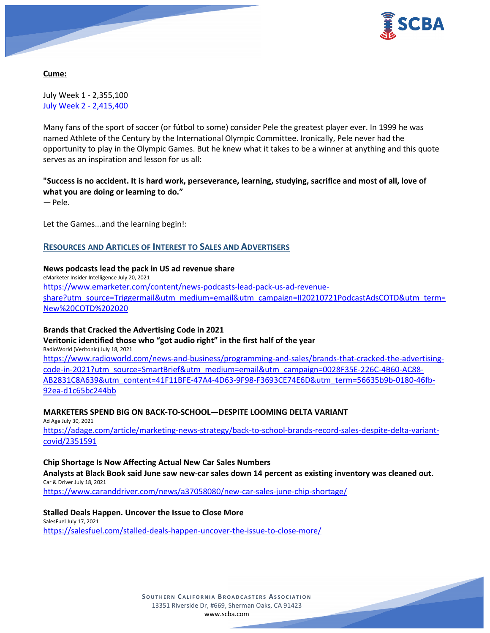

**Cume:**

July Week 1 - 2,355,100 July Week 2 - 2,415,400

Many fans of the sport of soccer (or fútbol to some) consider Pele the greatest player ever. In 1999 he was named Athlete of the Century by the International Olympic Committee. Ironically, Pele never had the opportunity to play in the Olympic Games. But he knew what it takes to be a winner at anything and this quote serves as an inspiration and lesson for us all:

# **"Success is no accident. It is hard work, perseverance, learning, studying, sacrifice and most of all, love of what you are doing or learning to do."**

— Pele.

Let the Games...and the learning begin!:

# **RESOURCES AND ARTICLES OF INTEREST TO SALES AND ADVERTISERS**

#### **News podcasts lead the pack in US ad revenue share**

eMarketer Insider Intelligence July 20, 2021 [https://www.emarketer.com/content/news-podcasts-lead-pack-us-ad-revenue](https://www.emarketer.com/content/news-podcasts-lead-pack-us-ad-revenue-share?utm_source=Triggermail&utm_medium=email&utm_campaign=II20210721PodcastAdsCOTD&utm_term=New%20COTD%202020)[share?utm\\_source=Triggermail&utm\\_medium=email&utm\\_campaign=II20210721PodcastAdsCOTD&utm\\_term=](https://www.emarketer.com/content/news-podcasts-lead-pack-us-ad-revenue-share?utm_source=Triggermail&utm_medium=email&utm_campaign=II20210721PodcastAdsCOTD&utm_term=New%20COTD%202020) [New%20COTD%202020](https://www.emarketer.com/content/news-podcasts-lead-pack-us-ad-revenue-share?utm_source=Triggermail&utm_medium=email&utm_campaign=II20210721PodcastAdsCOTD&utm_term=New%20COTD%202020)

### **Brands that Cracked the Advertising Code in 2021**

**Veritonic identified those who "got audio right" in the first half of the year** RadioWorld (Veritonic) July 18, 2021

[https://www.radioworld.com/news-and-business/programming-and-sales/brands-that-cracked-the-advertising](https://www.radioworld.com/news-and-business/programming-and-sales/brands-that-cracked-the-advertising-code-in-2021?utm_source=SmartBrief&utm_medium=email&utm_campaign=0028F35E-226C-4B60-AC88-AB2831C8A639&utm_content=41F11BFE-47A4-4D63-9F98-F3693CE74E6D&utm_term=56635b9b-0180-46fb-92ea-d1c65bc244bb)[code-in-2021?utm\\_source=SmartBrief&utm\\_medium=email&utm\\_campaign=0028F35E-226C-4B60-AC88-](https://www.radioworld.com/news-and-business/programming-and-sales/brands-that-cracked-the-advertising-code-in-2021?utm_source=SmartBrief&utm_medium=email&utm_campaign=0028F35E-226C-4B60-AC88-AB2831C8A639&utm_content=41F11BFE-47A4-4D63-9F98-F3693CE74E6D&utm_term=56635b9b-0180-46fb-92ea-d1c65bc244bb) [AB2831C8A639&utm\\_content=41F11BFE-47A4-4D63-9F98-F3693CE74E6D&utm\\_term=56635b9b-0180-46fb-](https://www.radioworld.com/news-and-business/programming-and-sales/brands-that-cracked-the-advertising-code-in-2021?utm_source=SmartBrief&utm_medium=email&utm_campaign=0028F35E-226C-4B60-AC88-AB2831C8A639&utm_content=41F11BFE-47A4-4D63-9F98-F3693CE74E6D&utm_term=56635b9b-0180-46fb-92ea-d1c65bc244bb)[92ea-d1c65bc244bb](https://www.radioworld.com/news-and-business/programming-and-sales/brands-that-cracked-the-advertising-code-in-2021?utm_source=SmartBrief&utm_medium=email&utm_campaign=0028F35E-226C-4B60-AC88-AB2831C8A639&utm_content=41F11BFE-47A4-4D63-9F98-F3693CE74E6D&utm_term=56635b9b-0180-46fb-92ea-d1c65bc244bb)

### **MARKETERS SPEND BIG ON BACK-TO-SCHOOL—DESPITE LOOMING DELTA VARIANT**

Ad Age July 30, 2021

[https://adage.com/article/marketing-news-strategy/back-to-school-brands-record-sales-despite-delta-variant](https://adage.com/article/marketing-news-strategy/back-to-school-brands-record-sales-despite-delta-variant-covid/2351591)[covid/2351591](https://adage.com/article/marketing-news-strategy/back-to-school-brands-record-sales-despite-delta-variant-covid/2351591)

### **Chip Shortage Is Now Affecting Actual New Car Sales Numbers**

**Analysts at Black Book said June saw new-car sales down 14 percent as existing inventory was cleaned out.** Car & Driver July 18, 2021

<https://www.caranddriver.com/news/a37058080/new-car-sales-june-chip-shortage/>

### **Stalled Deals Happen. Uncover the Issue to Close More**

SalesFuel July 17, 2021 <https://salesfuel.com/stalled-deals-happen-uncover-the-issue-to-close-more/>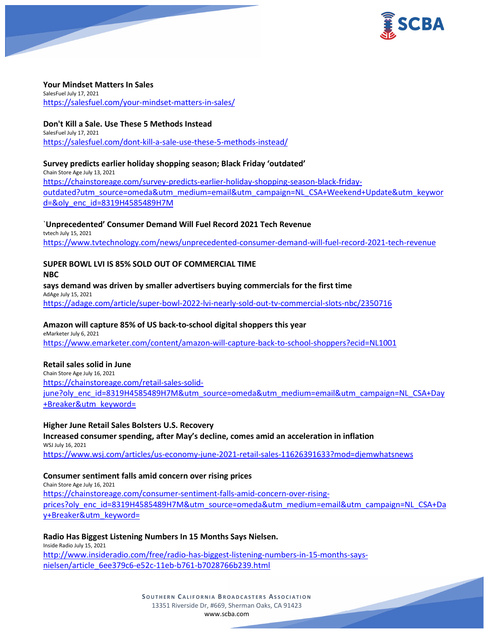

#### **Your Mindset Matters In Sales**

SalesFuel July 17, 2021 <https://salesfuel.com/your-mindset-matters-in-sales/>

#### **Don't Kill a Sale. Use These 5 Methods Instead**

SalesFuel July 17, 2021 <https://salesfuel.com/dont-kill-a-sale-use-these-5-methods-instead/>

### **Survey predicts earlier holiday shopping season; Black Friday 'outdated'**

Chain Store Age July 13, 2021 [https://chainstoreage.com/survey-predicts-earlier-holiday-shopping-season-black-friday](https://chainstoreage.com/survey-predicts-earlier-holiday-shopping-season-black-friday-outdated?utm_source=omeda&utm_medium=email&utm_campaign=NL_CSA+Weekend+Update&utm_keyword=&oly_enc_id=8319H4585489H7M)[outdated?utm\\_source=omeda&utm\\_medium=email&utm\\_campaign=NL\\_CSA+Weekend+Update&utm\\_keywor](https://chainstoreage.com/survey-predicts-earlier-holiday-shopping-season-black-friday-outdated?utm_source=omeda&utm_medium=email&utm_campaign=NL_CSA+Weekend+Update&utm_keyword=&oly_enc_id=8319H4585489H7M) [d=&oly\\_enc\\_id=8319H4585489H7M](https://chainstoreage.com/survey-predicts-earlier-holiday-shopping-season-black-friday-outdated?utm_source=omeda&utm_medium=email&utm_campaign=NL_CSA+Weekend+Update&utm_keyword=&oly_enc_id=8319H4585489H7M)

#### `**Unprecedented' Consumer Demand Will Fuel Record 2021 Tech Revenue**

tvtech July 15, 2021 <https://www.tvtechnology.com/news/unprecedented-consumer-demand-will-fuel-record-2021-tech-revenue>

# **SUPER BOWL LVI IS 85% SOLD OUT OF COMMERCIAL TIME**

**NBC**

**says demand was driven by smaller advertisers buying commercials for the first time** AdAge July 15, 2021 <https://adage.com/article/super-bowl-2022-lvi-nearly-sold-out-tv-commercial-slots-nbc/2350716>

### **Amazon will capture 85% of US back-to-school digital shoppers this year**

eMarketer July 6, 2021 <https://www.emarketer.com/content/amazon-will-capture-back-to-school-shoppers?ecid=NL1001>

### **Retail sales solid in June**

Chain Store Age July 16, 2021 [https://chainstoreage.com/retail-sales-solid](https://chainstoreage.com/retail-sales-solid-june?oly_enc_id=8319H4585489H7M&utm_source=omeda&utm_medium=email&utm_campaign=NL_CSA+Day+Breaker&utm_keyword=)[june?oly\\_enc\\_id=8319H4585489H7M&utm\\_source=omeda&utm\\_medium=email&utm\\_campaign=NL\\_CSA+Day](https://chainstoreage.com/retail-sales-solid-june?oly_enc_id=8319H4585489H7M&utm_source=omeda&utm_medium=email&utm_campaign=NL_CSA+Day+Breaker&utm_keyword=) [+Breaker&utm\\_keyword=](https://chainstoreage.com/retail-sales-solid-june?oly_enc_id=8319H4585489H7M&utm_source=omeda&utm_medium=email&utm_campaign=NL_CSA+Day+Breaker&utm_keyword=)

### **Higher June Retail Sales Bolsters U.S. Recovery**

**Increased consumer spending, after May's decline, comes amid an acceleration in inflation** WSJ July 16, 2021

<https://www.wsj.com/articles/us-economy-june-2021-retail-sales-11626391633?mod=djemwhatsnews>

### **Consumer sentiment falls amid concern over rising prices**

Chain Store Age July 16, 2021 [https://chainstoreage.com/consumer-sentiment-falls-amid-concern-over-rising](https://chainstoreage.com/consumer-sentiment-falls-amid-concern-over-rising-prices?oly_enc_id=8319H4585489H7M&utm_source=omeda&utm_medium=email&utm_campaign=NL_CSA+Day+Breaker&utm_keyword=)[prices?oly\\_enc\\_id=8319H4585489H7M&utm\\_source=omeda&utm\\_medium=email&utm\\_campaign=NL\\_CSA+Da](https://chainstoreage.com/consumer-sentiment-falls-amid-concern-over-rising-prices?oly_enc_id=8319H4585489H7M&utm_source=omeda&utm_medium=email&utm_campaign=NL_CSA+Day+Breaker&utm_keyword=) [y+Breaker&utm\\_keyword=](https://chainstoreage.com/consumer-sentiment-falls-amid-concern-over-rising-prices?oly_enc_id=8319H4585489H7M&utm_source=omeda&utm_medium=email&utm_campaign=NL_CSA+Day+Breaker&utm_keyword=)

### **Radio Has Biggest Listening Numbers In 15 Months Says Nielsen.**

Inside Radio July 15, 2021 [http://www.insideradio.com/free/radio-has-biggest-listening-numbers-in-15-months-says](http://www.insideradio.com/free/radio-has-biggest-listening-numbers-in-15-months-says-nielsen/article_6ee379c6-e52c-11eb-b761-b7028766b239.html)[nielsen/article\\_6ee379c6-e52c-11eb-b761-b7028766b239.html](http://www.insideradio.com/free/radio-has-biggest-listening-numbers-in-15-months-says-nielsen/article_6ee379c6-e52c-11eb-b761-b7028766b239.html)

> **SOUTHERN C ALIFORNIA B ROADCASTERS ASSOCIATION** 13351 Riverside Dr, #669, Sherman Oaks, CA 91423 [www.scba.com](http://www.scba.com/)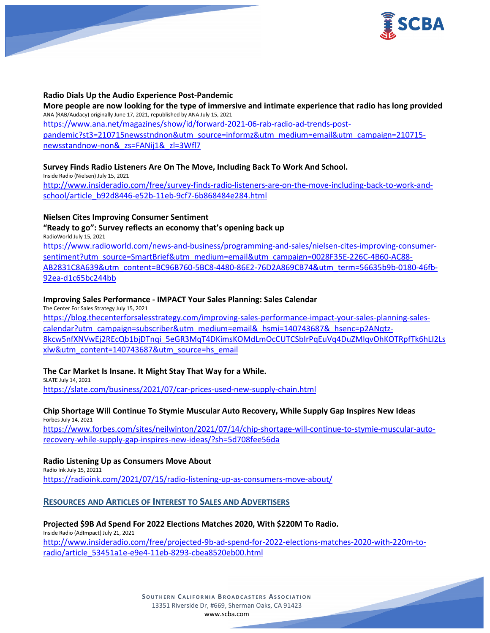

#### **Radio Dials Up the Audio Experience Post-Pandemic**

**More people are now looking for the type of immersive and intimate experience that radio has long provided** ANA (RAB/Audacy) originally June 17, 2021, republished by ANA July 15, 2021 [https://www.ana.net/magazines/show/id/forward-2021-06-rab-radio-ad-trends-post](https://www.ana.net/magazines/show/id/forward-2021-06-rab-radio-ad-trends-post-pandemic?st3=210715newsstndnon&utm_source=informz&utm_medium=email&utm_campaign=210715-newsstandnow-non&_zs=FANij1&_zl=3Wfl7)[pandemic?st3=210715newsstndnon&utm\\_source=informz&utm\\_medium=email&utm\\_campaign=210715](https://www.ana.net/magazines/show/id/forward-2021-06-rab-radio-ad-trends-post-pandemic?st3=210715newsstndnon&utm_source=informz&utm_medium=email&utm_campaign=210715-newsstandnow-non&_zs=FANij1&_zl=3Wfl7) [newsstandnow-non&\\_zs=FANij1&\\_zl=3Wfl7](https://www.ana.net/magazines/show/id/forward-2021-06-rab-radio-ad-trends-post-pandemic?st3=210715newsstndnon&utm_source=informz&utm_medium=email&utm_campaign=210715-newsstandnow-non&_zs=FANij1&_zl=3Wfl7)

#### **Survey Finds Radio Listeners Are On The Move, Including Back To Work And School.**

Inside Radio (Nielsen) July 15, 2021 [http://www.insideradio.com/free/survey-finds-radio-listeners-are-on-the-move-including-back-to-work-and](http://www.insideradio.com/free/survey-finds-radio-listeners-are-on-the-move-including-back-to-work-and-school/article_b92d8446-e52b-11eb-9cf7-6b868484e284.html)[school/article\\_b92d8446-e52b-11eb-9cf7-6b868484e284.html](http://www.insideradio.com/free/survey-finds-radio-listeners-are-on-the-move-including-back-to-work-and-school/article_b92d8446-e52b-11eb-9cf7-6b868484e284.html)

#### **Nielsen Cites Improving Consumer Sentiment**

#### **"Ready to go": Survey reflects an economy that's opening back up** RadioWorld July 15, 2021

[https://www.radioworld.com/news-and-business/programming-and-sales/nielsen-cites-improving-consumer](https://www.radioworld.com/news-and-business/programming-and-sales/nielsen-cites-improving-consumer-sentiment?utm_source=SmartBrief&utm_medium=email&utm_campaign=0028F35E-226C-4B60-AC88-AB2831C8A639&utm_content=BC96B760-5BC8-4480-86E2-76D2A869CB74&utm_term=56635b9b-0180-46fb-92ea-d1c65bc244bb)[sentiment?utm\\_source=SmartBrief&utm\\_medium=email&utm\\_campaign=0028F35E-226C-4B60-AC88-](https://www.radioworld.com/news-and-business/programming-and-sales/nielsen-cites-improving-consumer-sentiment?utm_source=SmartBrief&utm_medium=email&utm_campaign=0028F35E-226C-4B60-AC88-AB2831C8A639&utm_content=BC96B760-5BC8-4480-86E2-76D2A869CB74&utm_term=56635b9b-0180-46fb-92ea-d1c65bc244bb) [AB2831C8A639&utm\\_content=BC96B760-5BC8-4480-86E2-76D2A869CB74&utm\\_term=56635b9b-0180-46fb-](https://www.radioworld.com/news-and-business/programming-and-sales/nielsen-cites-improving-consumer-sentiment?utm_source=SmartBrief&utm_medium=email&utm_campaign=0028F35E-226C-4B60-AC88-AB2831C8A639&utm_content=BC96B760-5BC8-4480-86E2-76D2A869CB74&utm_term=56635b9b-0180-46fb-92ea-d1c65bc244bb)[92ea-d1c65bc244bb](https://www.radioworld.com/news-and-business/programming-and-sales/nielsen-cites-improving-consumer-sentiment?utm_source=SmartBrief&utm_medium=email&utm_campaign=0028F35E-226C-4B60-AC88-AB2831C8A639&utm_content=BC96B760-5BC8-4480-86E2-76D2A869CB74&utm_term=56635b9b-0180-46fb-92ea-d1c65bc244bb)

#### **Improving Sales Performance - IMPACT Your Sales Planning: Sales Calendar**

The Center For Sales Strategy July 15, 2021

[https://blog.thecenterforsalesstrategy.com/improving-sales-performance-impact-your-sales-planning-sales](https://blog.thecenterforsalesstrategy.com/improving-sales-performance-impact-your-sales-planning-sales-calendar?utm_campaign=subscriber&utm_medium=email&_hsmi=140743687&_hsenc=p2ANqtz-8kcw5nfXNVwEj2REcQb1bjDTnqi_5eGR3MqT4DKimsKOMdLmOcCUTCSbIrPqEuVq4DuZMlqvOhKOTRpfTk6hLI2Lsxlw&utm_content=140743687&utm_source=hs_email)[calendar?utm\\_campaign=subscriber&utm\\_medium=email&\\_hsmi=140743687&\\_hsenc=p2ANqtz-](https://blog.thecenterforsalesstrategy.com/improving-sales-performance-impact-your-sales-planning-sales-calendar?utm_campaign=subscriber&utm_medium=email&_hsmi=140743687&_hsenc=p2ANqtz-8kcw5nfXNVwEj2REcQb1bjDTnqi_5eGR3MqT4DKimsKOMdLmOcCUTCSbIrPqEuVq4DuZMlqvOhKOTRpfTk6hLI2Lsxlw&utm_content=140743687&utm_source=hs_email)[8kcw5nfXNVwEj2REcQb1bjDTnqi\\_5eGR3MqT4DKimsKOMdLmOcCUTCSbIrPqEuVq4DuZMlqvOhKOTRpfTk6hLI2Ls](https://blog.thecenterforsalesstrategy.com/improving-sales-performance-impact-your-sales-planning-sales-calendar?utm_campaign=subscriber&utm_medium=email&_hsmi=140743687&_hsenc=p2ANqtz-8kcw5nfXNVwEj2REcQb1bjDTnqi_5eGR3MqT4DKimsKOMdLmOcCUTCSbIrPqEuVq4DuZMlqvOhKOTRpfTk6hLI2Lsxlw&utm_content=140743687&utm_source=hs_email) [xlw&utm\\_content=140743687&utm\\_source=hs\\_email](https://blog.thecenterforsalesstrategy.com/improving-sales-performance-impact-your-sales-planning-sales-calendar?utm_campaign=subscriber&utm_medium=email&_hsmi=140743687&_hsenc=p2ANqtz-8kcw5nfXNVwEj2REcQb1bjDTnqi_5eGR3MqT4DKimsKOMdLmOcCUTCSbIrPqEuVq4DuZMlqvOhKOTRpfTk6hLI2Lsxlw&utm_content=140743687&utm_source=hs_email)

### **The Car Market Is Insane. It Might Stay That Way for a While.**

SLATE July 14, 2021 <https://slate.com/business/2021/07/car-prices-used-new-supply-chain.html>

#### **Chip Shortage Will Continue To Stymie Muscular Auto Recovery, While Supply Gap Inspires New Ideas** Forbes July 14, 2021

[https://www.forbes.com/sites/neilwinton/2021/07/14/chip-shortage-will-continue-to-stymie-muscular-auto](https://www.forbes.com/sites/neilwinton/2021/07/14/chip-shortage-will-continue-to-stymie-muscular-auto-recovery-while-supply-gap-inspires-new-ideas/?sh=5d708fee56da)[recovery-while-supply-gap-inspires-new-ideas/?sh=5d708fee56da](https://www.forbes.com/sites/neilwinton/2021/07/14/chip-shortage-will-continue-to-stymie-muscular-auto-recovery-while-supply-gap-inspires-new-ideas/?sh=5d708fee56da)

#### **Radio Listening Up as Consumers Move About**

Radio Ink July 15, 20211 <https://radioink.com/2021/07/15/radio-listening-up-as-consumers-move-about/>

### **RESOURCES AND ARTICLES OF INTEREST TO SALES AND ADVERTISERS**

#### **Projected \$9B Ad Spend For 2022 Elections Matches 2020, With \$220M To Radio.**

Inside Radio (AdImpact) July 21, 2021 [http://www.insideradio.com/free/projected-9b-ad-spend-for-2022-elections-matches-2020-with-220m-to](http://www.insideradio.com/free/projected-9b-ad-spend-for-2022-elections-matches-2020-with-220m-to-radio/article_53451a1e-e9e4-11eb-8293-cbea8520eb00.html)[radio/article\\_53451a1e-e9e4-11eb-8293-cbea8520eb00.html](http://www.insideradio.com/free/projected-9b-ad-spend-for-2022-elections-matches-2020-with-220m-to-radio/article_53451a1e-e9e4-11eb-8293-cbea8520eb00.html)

> **SOUTHERN C ALIFORNIA B ROADCASTERS ASSOCIATION** 13351 Riverside Dr, #669, Sherman Oaks, CA 91423 [www.scba.com](http://www.scba.com/)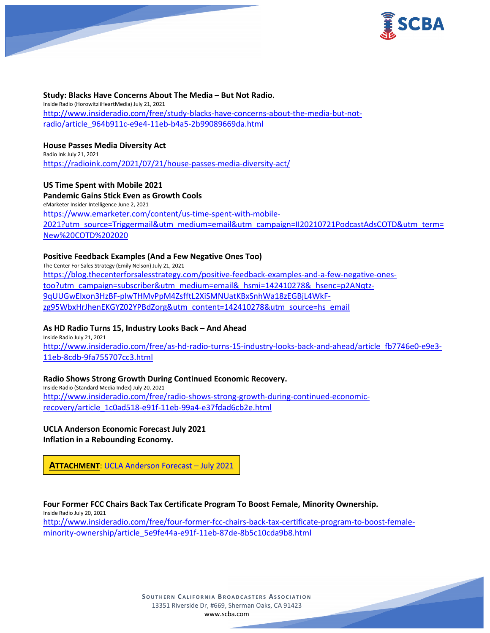

**Study: Blacks Have Concerns About The Media – But Not Radio.** Inside Radio (HorowitzliHeartMedia) July 21, 2021 [http://www.insideradio.com/free/study-blacks-have-concerns-about-the-media-but-not](http://www.insideradio.com/free/study-blacks-have-concerns-about-the-media-but-not-radio/article_964b911c-e9e4-11eb-b4a5-2b99089669da.html)[radio/article\\_964b911c-e9e4-11eb-b4a5-2b99089669da.html](http://www.insideradio.com/free/study-blacks-have-concerns-about-the-media-but-not-radio/article_964b911c-e9e4-11eb-b4a5-2b99089669da.html)

#### **House Passes Media Diversity Act**

Radio Ink July 21, 2021 <https://radioink.com/2021/07/21/house-passes-media-diversity-act/>

**US Time Spent with Mobile 2021 Pandemic Gains Stick Even as Growth Cools** eMarketer Insider Intelligence June 2, 2021 [https://www.emarketer.com/content/us-time-spent-with-mobile-](https://www.emarketer.com/content/us-time-spent-with-mobile-2021?utm_source=Triggermail&utm_medium=email&utm_campaign=II20210721PodcastAdsCOTD&utm_term=New%20COTD%202020)[2021?utm\\_source=Triggermail&utm\\_medium=email&utm\\_campaign=II20210721PodcastAdsCOTD&utm\\_term=](https://www.emarketer.com/content/us-time-spent-with-mobile-2021?utm_source=Triggermail&utm_medium=email&utm_campaign=II20210721PodcastAdsCOTD&utm_term=New%20COTD%202020) [New%20COTD%202020](https://www.emarketer.com/content/us-time-spent-with-mobile-2021?utm_source=Triggermail&utm_medium=email&utm_campaign=II20210721PodcastAdsCOTD&utm_term=New%20COTD%202020)

#### **Positive Feedback Examples (And a Few Negative Ones Too)**

The Center For Sales Strategy (Emily Nelson) July 21, 2021 [https://blog.thecenterforsalesstrategy.com/positive-feedback-examples-and-a-few-negative-ones](https://blog.thecenterforsalesstrategy.com/positive-feedback-examples-and-a-few-negative-ones-too?utm_campaign=subscriber&utm_medium=email&_hsmi=142410278&_hsenc=p2ANqtz-9qUUGwEIxon3HzBF-pIwTHMvPpM4ZsfftL2XiSMNUatKBxSnhWa18zEGBjL4WkF-zg95WbxHrJhenEKGYZ02YPBdZorg&utm_content=142410278&utm_source=hs_email)[too?utm\\_campaign=subscriber&utm\\_medium=email&\\_hsmi=142410278&\\_hsenc=p2ANqtz-](https://blog.thecenterforsalesstrategy.com/positive-feedback-examples-and-a-few-negative-ones-too?utm_campaign=subscriber&utm_medium=email&_hsmi=142410278&_hsenc=p2ANqtz-9qUUGwEIxon3HzBF-pIwTHMvPpM4ZsfftL2XiSMNUatKBxSnhWa18zEGBjL4WkF-zg95WbxHrJhenEKGYZ02YPBdZorg&utm_content=142410278&utm_source=hs_email)[9qUUGwEIxon3HzBF-pIwTHMvPpM4ZsfftL2XiSMNUatKBxSnhWa18zEGBjL4WkF](https://blog.thecenterforsalesstrategy.com/positive-feedback-examples-and-a-few-negative-ones-too?utm_campaign=subscriber&utm_medium=email&_hsmi=142410278&_hsenc=p2ANqtz-9qUUGwEIxon3HzBF-pIwTHMvPpM4ZsfftL2XiSMNUatKBxSnhWa18zEGBjL4WkF-zg95WbxHrJhenEKGYZ02YPBdZorg&utm_content=142410278&utm_source=hs_email)[zg95WbxHrJhenEKGYZ02YPBdZorg&utm\\_content=142410278&utm\\_source=hs\\_email](https://blog.thecenterforsalesstrategy.com/positive-feedback-examples-and-a-few-negative-ones-too?utm_campaign=subscriber&utm_medium=email&_hsmi=142410278&_hsenc=p2ANqtz-9qUUGwEIxon3HzBF-pIwTHMvPpM4ZsfftL2XiSMNUatKBxSnhWa18zEGBjL4WkF-zg95WbxHrJhenEKGYZ02YPBdZorg&utm_content=142410278&utm_source=hs_email)

#### **As HD Radio Turns 15, Industry Looks Back – And Ahead**

Inside Radio July 21, 2021 [http://www.insideradio.com/free/as-hd-radio-turns-15-industry-looks-back-and-ahead/article\\_fb7746e0-e9e3-](http://www.insideradio.com/free/as-hd-radio-turns-15-industry-looks-back-and-ahead/article_fb7746e0-e9e3-11eb-8cdb-9fa755707cc3.html) [11eb-8cdb-9fa755707cc3.html](http://www.insideradio.com/free/as-hd-radio-turns-15-industry-looks-back-and-ahead/article_fb7746e0-e9e3-11eb-8cdb-9fa755707cc3.html)

### **Radio Shows Strong Growth During Continued Economic Recovery.**

Inside Radio (Standard Media Index) July 20, 2021 [http://www.insideradio.com/free/radio-shows-strong-growth-during-continued-economic](http://www.insideradio.com/free/radio-shows-strong-growth-during-continued-economic-recovery/article_1c0ad518-e91f-11eb-99a4-e37fdad6cb2e.html)[recovery/article\\_1c0ad518-e91f-11eb-99a4-e37fdad6cb2e.html](http://www.insideradio.com/free/radio-shows-strong-growth-during-continued-economic-recovery/article_1c0ad518-e91f-11eb-99a4-e37fdad6cb2e.html)

### **UCLA Anderson Economic Forecast July 2021 Inflation in a Rebounding Economy.**

**ATTACHMENT**: [UCLA Anderson Forecast –](https://scba.com/ucla-anderson-forecast-july-2021/) July 2021

**Four Former FCC Chairs Back Tax Certificate Program To Boost Female, Minority Ownership.**

Inside Radio July 20, 2021

[http://www.insideradio.com/free/four-former-fcc-chairs-back-tax-certificate-program-to-boost-female](http://www.insideradio.com/free/four-former-fcc-chairs-back-tax-certificate-program-to-boost-female-minority-ownership/article_5e9fe44a-e91f-11eb-87de-8b5c10cda9b8.html)[minority-ownership/article\\_5e9fe44a-e91f-11eb-87de-8b5c10cda9b8.html](http://www.insideradio.com/free/four-former-fcc-chairs-back-tax-certificate-program-to-boost-female-minority-ownership/article_5e9fe44a-e91f-11eb-87de-8b5c10cda9b8.html)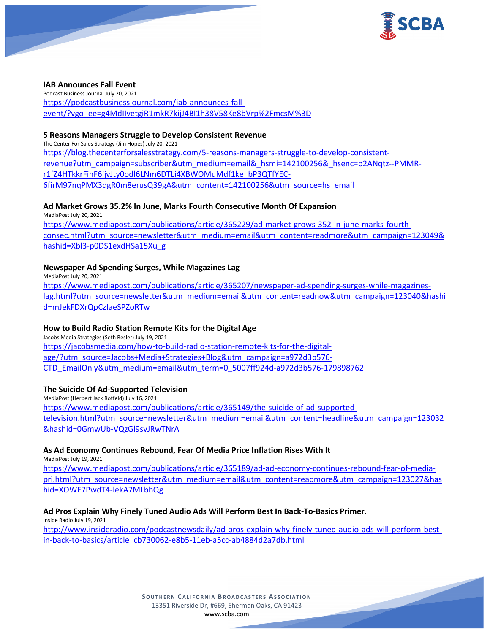

#### **IAB Announces Fall Event**

Podcast Business Journal July 20, 2021 [https://podcastbusinessjournal.com/iab-announces-fall](https://podcastbusinessjournal.com/iab-announces-fall-event/?vgo_ee=g4MdIIvetgiR1mkR7kijJ4BI1h38V58Ke8bVrp%2FmcsM%3D)[event/?vgo\\_ee=g4MdIIvetgiR1mkR7kijJ4BI1h38V58Ke8bVrp%2FmcsM%3D](https://podcastbusinessjournal.com/iab-announces-fall-event/?vgo_ee=g4MdIIvetgiR1mkR7kijJ4BI1h38V58Ke8bVrp%2FmcsM%3D)

#### **5 Reasons Managers Struggle to Develop Consistent Revenue**

The Center For Sales Strategy (Jim Hopes) July 20, 2021

[https://blog.thecenterforsalesstrategy.com/5-reasons-managers-struggle-to-develop-consistent](https://blog.thecenterforsalesstrategy.com/5-reasons-managers-struggle-to-develop-consistent-revenue?utm_campaign=subscriber&utm_medium=email&_hsmi=142100256&_hsenc=p2ANqtz--PMMR-r1fZ4HTkkrFinF6ijvJty0odl6LNm6DTLi4XBWOMuMdf1ke_bP3QTfYEC-6firM97nqPMX3dgR0m8erusQ39gA&utm_content=142100256&utm_source=hs_email)[revenue?utm\\_campaign=subscriber&utm\\_medium=email&\\_hsmi=142100256&\\_hsenc=p2ANqtz--PMMR](https://blog.thecenterforsalesstrategy.com/5-reasons-managers-struggle-to-develop-consistent-revenue?utm_campaign=subscriber&utm_medium=email&_hsmi=142100256&_hsenc=p2ANqtz--PMMR-r1fZ4HTkkrFinF6ijvJty0odl6LNm6DTLi4XBWOMuMdf1ke_bP3QTfYEC-6firM97nqPMX3dgR0m8erusQ39gA&utm_content=142100256&utm_source=hs_email)[r1fZ4HTkkrFinF6ijvJty0odl6LNm6DTLi4XBWOMuMdf1ke\\_bP3QTfYEC-](https://blog.thecenterforsalesstrategy.com/5-reasons-managers-struggle-to-develop-consistent-revenue?utm_campaign=subscriber&utm_medium=email&_hsmi=142100256&_hsenc=p2ANqtz--PMMR-r1fZ4HTkkrFinF6ijvJty0odl6LNm6DTLi4XBWOMuMdf1ke_bP3QTfYEC-6firM97nqPMX3dgR0m8erusQ39gA&utm_content=142100256&utm_source=hs_email)[6firM97nqPMX3dgR0m8erusQ39gA&utm\\_content=142100256&utm\\_source=hs\\_email](https://blog.thecenterforsalesstrategy.com/5-reasons-managers-struggle-to-develop-consistent-revenue?utm_campaign=subscriber&utm_medium=email&_hsmi=142100256&_hsenc=p2ANqtz--PMMR-r1fZ4HTkkrFinF6ijvJty0odl6LNm6DTLi4XBWOMuMdf1ke_bP3QTfYEC-6firM97nqPMX3dgR0m8erusQ39gA&utm_content=142100256&utm_source=hs_email)

#### **Ad Market Grows 35.2% In June, Marks Fourth Consecutive Month Of Expansion**

MediaPost July 20, 2021 [https://www.mediapost.com/publications/article/365229/ad-market-grows-352-in-june-marks-fourth](https://www.mediapost.com/publications/article/365229/ad-market-grows-352-in-june-marks-fourth-consec.html?utm_source=newsletter&utm_medium=email&utm_content=readmore&utm_campaign=123049&hashid=Xbl3-p0DS1exdHSa15Xu_g)[consec.html?utm\\_source=newsletter&utm\\_medium=email&utm\\_content=readmore&utm\\_campaign=123049&](https://www.mediapost.com/publications/article/365229/ad-market-grows-352-in-june-marks-fourth-consec.html?utm_source=newsletter&utm_medium=email&utm_content=readmore&utm_campaign=123049&hashid=Xbl3-p0DS1exdHSa15Xu_g) [hashid=Xbl3-p0DS1exdHSa15Xu\\_g](https://www.mediapost.com/publications/article/365229/ad-market-grows-352-in-june-marks-fourth-consec.html?utm_source=newsletter&utm_medium=email&utm_content=readmore&utm_campaign=123049&hashid=Xbl3-p0DS1exdHSa15Xu_g)

#### **Newspaper Ad Spending Surges, While Magazines Lag**

MediaPost July 20, 2021 [https://www.mediapost.com/publications/article/365207/newspaper-ad-spending-surges-while-magazines](https://www.mediapost.com/publications/article/365207/newspaper-ad-spending-surges-while-magazines-lag.html?utm_source=newsletter&utm_medium=email&utm_content=readnow&utm_campaign=123040&hashid=mJekFDXrQpCzIaeSPZoRTw)[lag.html?utm\\_source=newsletter&utm\\_medium=email&utm\\_content=readnow&utm\\_campaign=123040&hashi](https://www.mediapost.com/publications/article/365207/newspaper-ad-spending-surges-while-magazines-lag.html?utm_source=newsletter&utm_medium=email&utm_content=readnow&utm_campaign=123040&hashid=mJekFDXrQpCzIaeSPZoRTw) [d=mJekFDXrQpCzIaeSPZoRTw](https://www.mediapost.com/publications/article/365207/newspaper-ad-spending-surges-while-magazines-lag.html?utm_source=newsletter&utm_medium=email&utm_content=readnow&utm_campaign=123040&hashid=mJekFDXrQpCzIaeSPZoRTw)

#### **How to Build Radio Station Remote Kits for the Digital Age**

Jacobs Media Strategies (Seth Resler) July 19, 2021 [https://jacobsmedia.com/how-to-build-radio-station-remote-kits-for-the-digital](https://jacobsmedia.com/how-to-build-radio-station-remote-kits-for-the-digital-age/?utm_source=Jacobs+Media+Strategies+Blog&utm_campaign=a972d3b576-CTD_EmailOnly&utm_medium=email&utm_term=0_5007ff924d-a972d3b576-179898762)[age/?utm\\_source=Jacobs+Media+Strategies+Blog&utm\\_campaign=a972d3b576-](https://jacobsmedia.com/how-to-build-radio-station-remote-kits-for-the-digital-age/?utm_source=Jacobs+Media+Strategies+Blog&utm_campaign=a972d3b576-CTD_EmailOnly&utm_medium=email&utm_term=0_5007ff924d-a972d3b576-179898762) [CTD\\_EmailOnly&utm\\_medium=email&utm\\_term=0\\_5007ff924d-a972d3b576-179898762](https://jacobsmedia.com/how-to-build-radio-station-remote-kits-for-the-digital-age/?utm_source=Jacobs+Media+Strategies+Blog&utm_campaign=a972d3b576-CTD_EmailOnly&utm_medium=email&utm_term=0_5007ff924d-a972d3b576-179898762)

#### **The Suicide Of Ad-Supported Television**

MediaPost (Herbert Jack Rotfeld) July 16, 2021 [https://www.mediapost.com/publications/article/365149/the-suicide-of-ad-supported](https://www.mediapost.com/publications/article/365149/the-suicide-of-ad-supported-television.html?utm_source=newsletter&utm_medium=email&utm_content=headline&utm_campaign=123032&hashid=0GmwUb-VQzGl9svJRwTNrA)[television.html?utm\\_source=newsletter&utm\\_medium=email&utm\\_content=headline&utm\\_campaign=123032](https://www.mediapost.com/publications/article/365149/the-suicide-of-ad-supported-television.html?utm_source=newsletter&utm_medium=email&utm_content=headline&utm_campaign=123032&hashid=0GmwUb-VQzGl9svJRwTNrA) [&hashid=0GmwUb-VQzGl9svJRwTNrA](https://www.mediapost.com/publications/article/365149/the-suicide-of-ad-supported-television.html?utm_source=newsletter&utm_medium=email&utm_content=headline&utm_campaign=123032&hashid=0GmwUb-VQzGl9svJRwTNrA)

#### **As Ad Economy Continues Rebound, Fear Of Media Price Inflation Rises With It**

MediaPost July 19, 2021

[https://www.mediapost.com/publications/article/365189/ad-ad-economy-continues-rebound-fear-of-media](https://www.mediapost.com/publications/article/365189/ad-ad-economy-continues-rebound-fear-of-media-pri.html?utm_source=newsletter&utm_medium=email&utm_content=readmore&utm_campaign=123027&hashid=XOWE7PwdT4-lekA7MLbhQg)[pri.html?utm\\_source=newsletter&utm\\_medium=email&utm\\_content=readmore&utm\\_campaign=123027&has](https://www.mediapost.com/publications/article/365189/ad-ad-economy-continues-rebound-fear-of-media-pri.html?utm_source=newsletter&utm_medium=email&utm_content=readmore&utm_campaign=123027&hashid=XOWE7PwdT4-lekA7MLbhQg) [hid=XOWE7PwdT4-lekA7MLbhQg](https://www.mediapost.com/publications/article/365189/ad-ad-economy-continues-rebound-fear-of-media-pri.html?utm_source=newsletter&utm_medium=email&utm_content=readmore&utm_campaign=123027&hashid=XOWE7PwdT4-lekA7MLbhQg)

#### **Ad Pros Explain Why Finely Tuned Audio Ads Will Perform Best In Back-To-Basics Primer.**

Inside Radio July 19, 2021 [http://www.insideradio.com/podcastnewsdaily/ad-pros-explain-why-finely-tuned-audio-ads-will-perform-best](http://www.insideradio.com/podcastnewsdaily/ad-pros-explain-why-finely-tuned-audio-ads-will-perform-best-in-back-to-basics/article_cb730062-e8b5-11eb-a5cc-ab4884d2a7db.html)[in-back-to-basics/article\\_cb730062-e8b5-11eb-a5cc-ab4884d2a7db.html](http://www.insideradio.com/podcastnewsdaily/ad-pros-explain-why-finely-tuned-audio-ads-will-perform-best-in-back-to-basics/article_cb730062-e8b5-11eb-a5cc-ab4884d2a7db.html)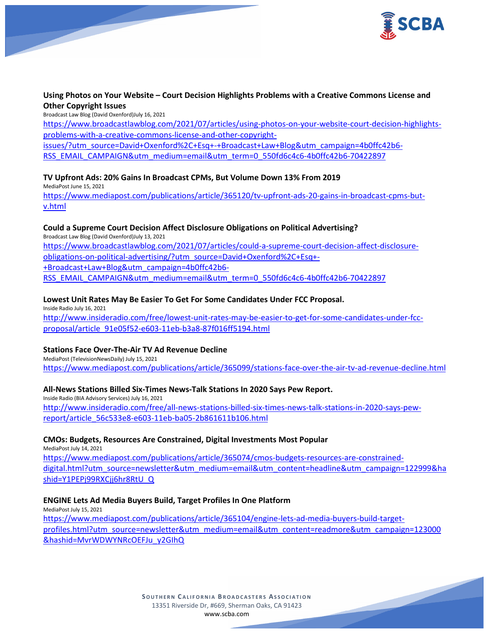

### **Using Photos on Your Website – Court Decision Highlights Problems with a Creative Commons License and Other Copyright Issues**

Broadcast Law Blog (David Oxenford)July 16, 2021

[https://www.broadcastlawblog.com/2021/07/articles/using-photos-on-your-website-court-decision-highlights](https://www.broadcastlawblog.com/2021/07/articles/using-photos-on-your-website-court-decision-highlights-problems-with-a-creative-commons-license-and-other-copyright-issues/?utm_source=David+Oxenford%2C+Esq+-+Broadcast+Law+Blog&utm_campaign=4b0ffc42b6-RSS_EMAIL_CAMPAIGN&utm_medium=email&utm_term=0_550fd6c4c6-4b0ffc42b6-70422897)[problems-with-a-creative-commons-license-and-other-copyright-](https://www.broadcastlawblog.com/2021/07/articles/using-photos-on-your-website-court-decision-highlights-problems-with-a-creative-commons-license-and-other-copyright-issues/?utm_source=David+Oxenford%2C+Esq+-+Broadcast+Law+Blog&utm_campaign=4b0ffc42b6-RSS_EMAIL_CAMPAIGN&utm_medium=email&utm_term=0_550fd6c4c6-4b0ffc42b6-70422897)

[issues/?utm\\_source=David+Oxenford%2C+Esq+-+Broadcast+Law+Blog&utm\\_campaign=4b0ffc42b6-](https://www.broadcastlawblog.com/2021/07/articles/using-photos-on-your-website-court-decision-highlights-problems-with-a-creative-commons-license-and-other-copyright-issues/?utm_source=David+Oxenford%2C+Esq+-+Broadcast+Law+Blog&utm_campaign=4b0ffc42b6-RSS_EMAIL_CAMPAIGN&utm_medium=email&utm_term=0_550fd6c4c6-4b0ffc42b6-70422897) [RSS\\_EMAIL\\_CAMPAIGN&utm\\_medium=email&utm\\_term=0\\_550fd6c4c6-4b0ffc42b6-70422897](https://www.broadcastlawblog.com/2021/07/articles/using-photos-on-your-website-court-decision-highlights-problems-with-a-creative-commons-license-and-other-copyright-issues/?utm_source=David+Oxenford%2C+Esq+-+Broadcast+Law+Blog&utm_campaign=4b0ffc42b6-RSS_EMAIL_CAMPAIGN&utm_medium=email&utm_term=0_550fd6c4c6-4b0ffc42b6-70422897)

#### **TV Upfront Ads: 20% Gains In Broadcast CPMs, But Volume Down 13% From 2019**

MediaPost June 15, 2021

[https://www.mediapost.com/publications/article/365120/tv-upfront-ads-20-gains-in-broadcast-cpms-but](https://www.mediapost.com/publications/article/365120/tv-upfront-ads-20-gains-in-broadcast-cpms-but-v.html)[v.html](https://www.mediapost.com/publications/article/365120/tv-upfront-ads-20-gains-in-broadcast-cpms-but-v.html)

### **Could a Supreme Court Decision Affect Disclosure Obligations on Political Advertising?**

Broadcast Law Blog (David Oxenford)July 13, 2021 [https://www.broadcastlawblog.com/2021/07/articles/could-a-supreme-court-decision-affect-disclosure](https://www.broadcastlawblog.com/2021/07/articles/could-a-supreme-court-decision-affect-disclosure-obligations-on-political-advertising/?utm_source=David+Oxenford%2C+Esq+-+Broadcast+Law+Blog&utm_campaign=4b0ffc42b6-RSS_EMAIL_CAMPAIGN&utm_medium=email&utm_term=0_550fd6c4c6-4b0ffc42b6-70422897)[obligations-on-political-advertising/?utm\\_source=David+Oxenford%2C+Esq+-](https://www.broadcastlawblog.com/2021/07/articles/could-a-supreme-court-decision-affect-disclosure-obligations-on-political-advertising/?utm_source=David+Oxenford%2C+Esq+-+Broadcast+Law+Blog&utm_campaign=4b0ffc42b6-RSS_EMAIL_CAMPAIGN&utm_medium=email&utm_term=0_550fd6c4c6-4b0ffc42b6-70422897) [+Broadcast+Law+Blog&utm\\_campaign=4b0ffc42b6-](https://www.broadcastlawblog.com/2021/07/articles/could-a-supreme-court-decision-affect-disclosure-obligations-on-political-advertising/?utm_source=David+Oxenford%2C+Esq+-+Broadcast+Law+Blog&utm_campaign=4b0ffc42b6-RSS_EMAIL_CAMPAIGN&utm_medium=email&utm_term=0_550fd6c4c6-4b0ffc42b6-70422897) [RSS\\_EMAIL\\_CAMPAIGN&utm\\_medium=email&utm\\_term=0\\_550fd6c4c6-4b0ffc42b6-70422897](https://www.broadcastlawblog.com/2021/07/articles/could-a-supreme-court-decision-affect-disclosure-obligations-on-political-advertising/?utm_source=David+Oxenford%2C+Esq+-+Broadcast+Law+Blog&utm_campaign=4b0ffc42b6-RSS_EMAIL_CAMPAIGN&utm_medium=email&utm_term=0_550fd6c4c6-4b0ffc42b6-70422897)

#### **Lowest Unit Rates May Be Easier To Get For Some Candidates Under FCC Proposal.**

Inside Radio July 16, 2021 [http://www.insideradio.com/free/lowest-unit-rates-may-be-easier-to-get-for-some-candidates-under-fcc](http://www.insideradio.com/free/lowest-unit-rates-may-be-easier-to-get-for-some-candidates-under-fcc-proposal/article_91e05f52-e603-11eb-b3a8-87f016ff5194.html)[proposal/article\\_91e05f52-e603-11eb-b3a8-87f016ff5194.html](http://www.insideradio.com/free/lowest-unit-rates-may-be-easier-to-get-for-some-candidates-under-fcc-proposal/article_91e05f52-e603-11eb-b3a8-87f016ff5194.html)

### **Stations Face Over-The-Air TV Ad Revenue Decline**

MediaPost (TelevisionNewsDaily) July 15, 2021 <https://www.mediapost.com/publications/article/365099/stations-face-over-the-air-tv-ad-revenue-decline.html>

### **All-News Stations Billed Six-Times News-Talk Stations In 2020 Says Pew Report.**

Inside Radio (BIA Advisory Services) July 16, 2021 [http://www.insideradio.com/free/all-news-stations-billed-six-times-news-talk-stations-in-2020-says-pew](http://www.insideradio.com/free/all-news-stations-billed-six-times-news-talk-stations-in-2020-says-pew-report/article_56c533e8-e603-11eb-ba05-2b861611b106.html)[report/article\\_56c533e8-e603-11eb-ba05-2b861611b106.html](http://www.insideradio.com/free/all-news-stations-billed-six-times-news-talk-stations-in-2020-says-pew-report/article_56c533e8-e603-11eb-ba05-2b861611b106.html)

### **CMOs: Budgets, Resources Are Constrained, Digital Investments Most Popular**

MediaPost July 14, 2021

[https://www.mediapost.com/publications/article/365074/cmos-budgets-resources-are-constrained](https://www.mediapost.com/publications/article/365074/cmos-budgets-resources-are-constrained-digital.html?utm_source=newsletter&utm_medium=email&utm_content=headline&utm_campaign=122999&hashid=Y1PEPj99RXCjj6hr8RtU_Q)[digital.html?utm\\_source=newsletter&utm\\_medium=email&utm\\_content=headline&utm\\_campaign=122999&ha](https://www.mediapost.com/publications/article/365074/cmos-budgets-resources-are-constrained-digital.html?utm_source=newsletter&utm_medium=email&utm_content=headline&utm_campaign=122999&hashid=Y1PEPj99RXCjj6hr8RtU_Q) [shid=Y1PEPj99RXCjj6hr8RtU\\_Q](https://www.mediapost.com/publications/article/365074/cmos-budgets-resources-are-constrained-digital.html?utm_source=newsletter&utm_medium=email&utm_content=headline&utm_campaign=122999&hashid=Y1PEPj99RXCjj6hr8RtU_Q)

### **ENGINE Lets Ad Media Buyers Build, Target Profiles In One Platform**

MediaPost July 15, 2021 [https://www.mediapost.com/publications/article/365104/engine-lets-ad-media-buyers-build-target](https://www.mediapost.com/publications/article/365104/engine-lets-ad-media-buyers-build-target-profiles.html?utm_source=newsletter&utm_medium=email&utm_content=readmore&utm_campaign=123000&hashid=MvrWDWYNRcOEFJu_y2GIhQ)[profiles.html?utm\\_source=newsletter&utm\\_medium=email&utm\\_content=readmore&utm\\_campaign=123000](https://www.mediapost.com/publications/article/365104/engine-lets-ad-media-buyers-build-target-profiles.html?utm_source=newsletter&utm_medium=email&utm_content=readmore&utm_campaign=123000&hashid=MvrWDWYNRcOEFJu_y2GIhQ) [&hashid=MvrWDWYNRcOEFJu\\_y2GIhQ](https://www.mediapost.com/publications/article/365104/engine-lets-ad-media-buyers-build-target-profiles.html?utm_source=newsletter&utm_medium=email&utm_content=readmore&utm_campaign=123000&hashid=MvrWDWYNRcOEFJu_y2GIhQ)